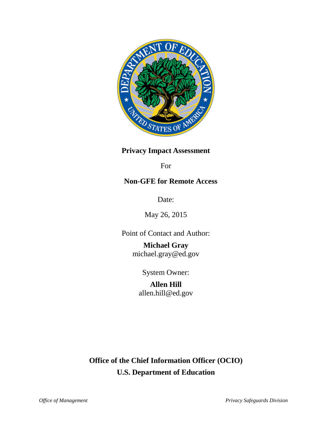

# **Privacy Impact Assessment**

For

# **Non-GFE for Remote Access**

Date:

May 26, 2015

Point of Contact and Author:

**Michael Gray** michael.gray@ed.gov

System Owner:

**Allen Hill** allen.hill@ed.gov

# **Office of the Chief Information Officer (OCIO) U.S. Department of Education**

*Office of Management Privacy Safeguards Division*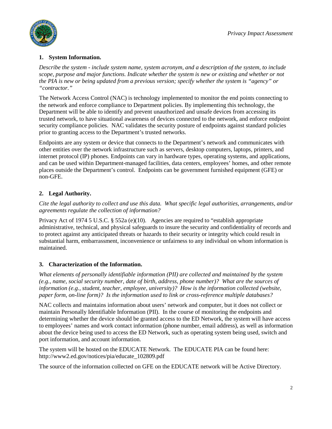

## **1. System Information.**

*Describe the system - include system name, system acronym, and a description of the system, to include scope, purpose and major functions. Indicate whether the system is new or existing and whether or not the PIA is new or being updated from a previous version; specify whether the system is "agency" or "contractor."*

The Network Access Control (NAC) is technology implemented to monitor the end points connecting to the network and enforce compliance to Department policies. By implementing this technology, the Department will be able to identify and prevent unauthorized and unsafe devices from accessing its trusted network, to have situational awareness of devices connected to the network, and enforce endpoint security compliance policies. NAC validates the security posture of endpoints against standard policies prior to granting access to the Department's trusted networks.

Endpoints are any system or device that connects to the Department's network and communicates with other entities over the network infrastructure such as servers, desktop computers, laptops, printers, and internet protocol (IP) phones. Endpoints can vary in hardware types, operating systems, and applications, and can be used within Department-managed facilities, data centers, employees' homes, and other remote places outside the Department's control. Endpoints can be government furnished equipment (GFE) or non-GFE.

# **2. Legal Authority.**

*Cite the legal authority to collect and use this data. What specific legal authorities, arrangements, and/or agreements regulate the collection of information?*

Privacy Act of 1974 5 U.S.C. § 552a (e)(10). Agencies are required to "establish appropriate administrative, technical, and physical safeguards to insure the security and confidentiality of records and to protect against any anticipated threats or hazards to their security or integrity which could result in substantial harm, embarrassment, inconvenience or unfairness to any individual on whom information is maintained.

# **3. Characterization of the Information.**

*What elements of personally identifiable information (PII) are collected and maintained by the system (e.g., name, social security number, date of birth, address, phone number)? What are the sources of information (e.g., student, teacher, employee, university)? How is the information collected (website, paper form, on-line form)? Is the information used to link or cross-reference multiple databases?*

NAC collects and maintains information about users' network and computer, but it does not collect or maintain Personally Identifiable Information (PII). In the course of monitoring the endpoints and determining whether the device should be granted access to the ED Network, the system will have access to employees' names and work contact information (phone number, email address), as well as information about the device being used to access the ED Network, such as operating system being used, switch and port information, and account information.

The system will be hosted on the EDUCATE Network. The EDUCATE PIA can be found here: http://www2.ed.gov/notices/pia/educate\_102809.pdf

The source of the information collected on GFE on the EDUCATE network will be Active Directory.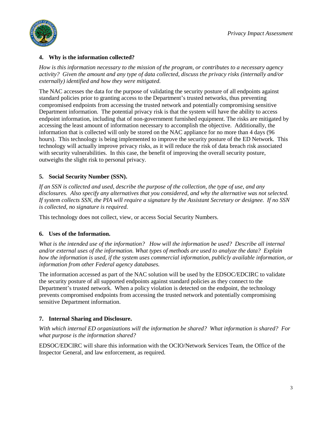

#### **4. Why is the information collected?**

*How is this information necessary to the mission of the program, or contributes to a necessary agency activity? Given the amount and any type of data collected, discuss the privacy risks (internally and/or externally) identified and how they were mitigated.*

The NAC accesses the data for the purpose of validating the security posture of all endpoints against standard policies prior to granting access to the Department's trusted networks, thus preventing compromised endpoints from accessing the trusted network and potentially compromising sensitive Department information. The potential privacy risk is that the system will have the ability to access endpoint information, including that of non-government furnished equipment. The risks are mitigated by accessing the least amount of information necessary to accomplish the objective. Additionally, the information that is collected will only be stored on the NAC appliance for no more than 4 days (96 hours). This technology is being implemented to improve the security posture of the ED Network. This technology will actually improve privacy risks, as it will reduce the risk of data breach risk associated with security vulnerabilities. In this case, the benefit of improving the overall security posture, outweighs the slight risk to personal privacy.

#### **5. Social Security Number (SSN).**

*If an SSN is collected and used, describe the purpose of the collection, the type of use, and any disclosures. Also specify any alternatives that you considered, and why the alternative was not selected. If system collects SSN, the PIA will require a signature by the Assistant Secretary or designee. If no SSN is collected, no signature is required.*

This technology does not collect, view, or access Social Security Numbers.

## **6. Uses of the Information.**

*What is the intended use of the information? How will the information be used? Describe all internal and/or external uses of the information. What types of methods are used to analyze the data? Explain how the information is used, if the system uses commercial information, publicly available information, or information from other Federal agency databases.*

The information accessed as part of the NAC solution will be used by the EDSOC/EDCIRC to validate the security posture of all supported endpoints against standard policies as they connect to the Department's trusted network. When a policy violation is detected on the endpoint, the technology prevents compromised endpoints from accessing the trusted network and potentially compromising sensitive Department information.

## **7. Internal Sharing and Disclosure.**

*With which internal ED organizations will the information be shared? What information is shared? For what purpose is the information shared?*

EDSOC/EDCIRC will share this information with the OCIO/Network Services Team, the Office of the Inspector General, and law enforcement, as required.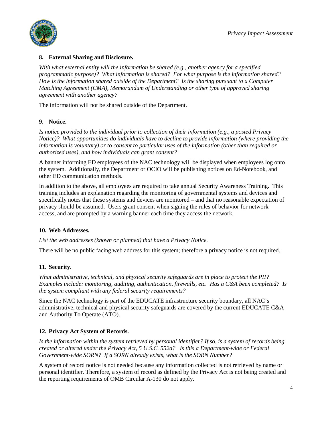

#### **8. External Sharing and Disclosure.**

*With what external entity will the information be shared (e.g., another agency for a specified programmatic purpose)? What information is shared? For what purpose is the information shared? How is the information shared outside of the Department? Is the sharing pursuant to a Computer Matching Agreement (CMA), Memorandum of Understanding or other type of approved sharing agreement with another agency?*

The information will not be shared outside of the Department.

## **9. Notice.**

*Is notice provided to the individual prior to collection of their information (e.g., a posted Privacy Notice)? What opportunities do individuals have to decline to provide information (where providing the information is voluntary) or to consent to particular uses of the information (other than required or authorized uses), and how individuals can grant consent?* 

A banner informing ED employees of the NAC technology will be displayed when employees log onto the system. Additionally, the Department or OCIO will be publishing notices on Ed-Notebook, and other ED communication methods.

In addition to the above, all employees are required to take annual Security Awareness Training. This training includes an explanation regarding the monitoring of governmental systems and devices and specifically notes that these systems and devices are monitored – and that no reasonable expectation of privacy should be assumed. Users grant consent when signing the rules of behavior for network access, and are prompted by a warning banner each time they access the network.

#### **10. Web Addresses.**

*List the web addresses (known or planned) that have a Privacy Notice.*

There will be no public facing web address for this system; therefore a privacy notice is not required.

## **11. Security.**

*What administrative, technical, and physical security safeguards are in place to protect the PII? Examples include: monitoring, auditing, authentication, firewalls, etc. Has a C&A been completed? Is the system compliant with any federal security requirements?* 

Since the NAC technology is part of the EDUCATE infrastructure security boundary, all NAC's administrative, technical and physical security safeguards are covered by the current EDUCATE C&A and Authority To Operate (ATO).

## **12. Privacy Act System of Records.**

*Is the information within the system retrieved by personal identifier? If so, is a system of records being created or altered under the Privacy Act, 5 U.S.C. 552a? Is this a Department-wide or Federal Government-wide SORN? If a SORN already exists, what is the SORN Number?* 

A system of record notice is not needed because any information collected is not retrieved by name or personal identifier. Therefore, a system of record as defined by the Privacy Act is not being created and the reporting requirements of OMB Circular A-130 do not apply.